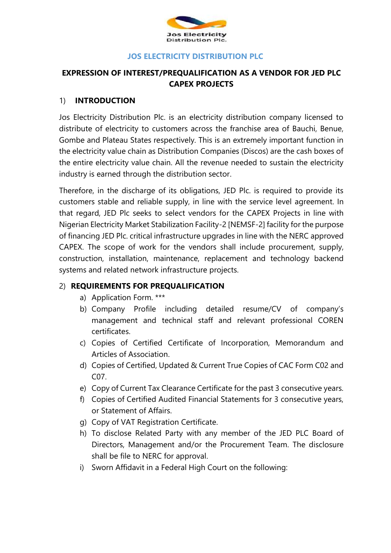

#### **JOS ELECTRICITY DISTRIBUTION PLC**

# **EXPRESSION OF INTEREST/PREQUALIFICATION AS A VENDOR FOR JED PLC CAPEX PROJECTS**

#### 1) **INTRODUCTION**

Jos Electricity Distribution Plc. is an electricity distribution company licensed to distribute of electricity to customers across the franchise area of Bauchi, Benue, Gombe and Plateau States respectively. This is an extremely important function in the electricity value chain as Distribution Companies (Discos) are the cash boxes of the entire electricity value chain. All the revenue needed to sustain the electricity industry is earned through the distribution sector.

Therefore, in the discharge of its obligations, JED Plc. is required to provide its customers stable and reliable supply, in line with the service level agreement. In that regard, JED Plc seeks to select vendors for the CAPEX Projects in line with Nigerian Electricity Market Stabilization Facility-2 [NEMSF-2] facility for the purpose of financing JED Plc. critical infrastructure upgrades in line with the NERC approved CAPEX. The scope of work for the vendors shall include procurement, supply, construction, installation, maintenance, replacement and technology backend systems and related network infrastructure projects.

### 2) **REQUIREMENTS FOR PREQUALIFICATION**

- a) Application Form. \*\*\*
- b) Company Profile including detailed resume/CV of company's management and technical staff and relevant professional COREN certificates.
- c) Copies of Certified Certificate of Incorporation, Memorandum and Articles of Association.
- d) Copies of Certified, Updated & Current True Copies of CAC Form C02 and C07.
- e) Copy of Current Tax Clearance Certificate for the past 3 consecutive years.
- f) Copies of Certified Audited Financial Statements for 3 consecutive years, or Statement of Affairs.
- g) Copy of VAT Registration Certificate.
- h) To disclose Related Party with any member of the JED PLC Board of Directors, Management and/or the Procurement Team. The disclosure shall be file to NERC for approval.
- i) Sworn Affidavit in a Federal High Court on the following: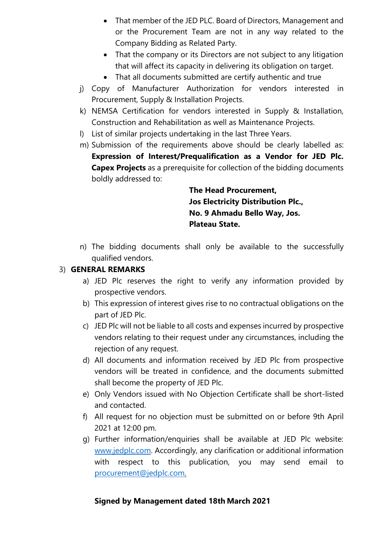- That member of the JED PLC. Board of Directors, Management and or the Procurement Team are not in any way related to the Company Bidding as Related Party.
- That the company or its Directors are not subject to any litigation that will affect its capacity in delivering its obligation on target.
- That all documents submitted are certify authentic and true
- j) Copy of Manufacturer Authorization for vendors interested in Procurement, Supply & Installation Projects.
- k) NEMSA Certification for vendors interested in Supply & Installation, Construction and Rehabilitation as well as Maintenance Projects.
- l) List of similar projects undertaking in the last Three Years.
- m) Submission of the requirements above should be clearly labelled as: **Expression of Interest/Prequalification as a Vendor for JED Plc. Capex Projects** as a prerequisite for collection of the bidding documents boldly addressed to:

**The Head Procurement, Jos Electricity Distribution Plc., No. 9 Ahmadu Bello Way, Jos. Plateau State.**

n) The bidding documents shall only be available to the successfully qualified vendors.

## 3) **GENERAL REMARKS**

- a) JED Plc reserves the right to verify any information provided by prospective vendors.
- b) This expression of interest gives rise to no contractual obligations on the part of JED Plc.
- c) JED Plc will not be liable to all costs and expenses incurred by prospective vendors relating to their request under any circumstances, including the rejection of any request.
- d) All documents and information received by JED Plc from prospective vendors will be treated in confidence, and the documents submitted shall become the property of JED Plc.
- e) Only Vendors issued with No Objection Certificate shall be short-listed and contacted.
- f) All request for no objection must be submitted on or before 9th April 2021 at 12:00 pm.
- g) Further information/enquiries shall be available at JED Plc website: [www.jedplc.com.](http://www.jedplc.com/) Accordingly, any clarification or additional information with respect to this publication, you may send email to [procurement@jedplc.com.](mailto:murtala.raji@jedplc.com)

## **Signed by Management dated 18th March 2021**